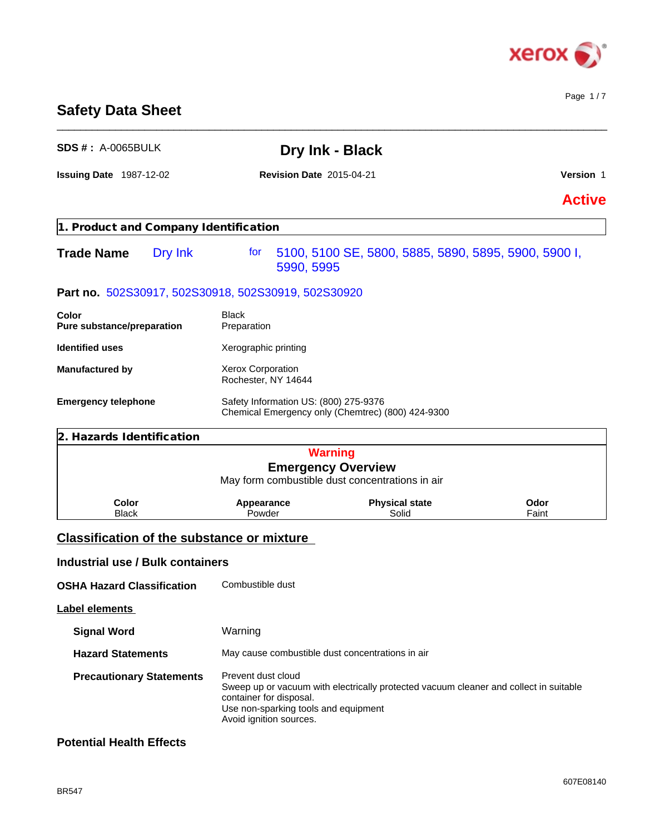

# **Safety Data Sheet**

| <b>SDS #: A-0065BULK</b>                            |                                                  | Dry Ink - Black                                                                       |               |
|-----------------------------------------------------|--------------------------------------------------|---------------------------------------------------------------------------------------|---------------|
| <b>Issuing Date 1987-12-02</b>                      | <b>Revision Date 2015-04-21</b>                  |                                                                                       | Version 1     |
|                                                     |                                                  |                                                                                       | <b>Active</b> |
| 1. Product and Company Identification               |                                                  |                                                                                       |               |
| Dry Ink<br><b>Trade Name</b>                        | for<br>5990, 5995                                | 5100, 5100 SE, 5800, 5885, 5890, 5895, 5900, 5900 I,                                  |               |
| Part no. 502S30917, 502S30918, 502S30919, 502S30920 |                                                  |                                                                                       |               |
| Color<br>Pure substance/preparation                 | <b>Black</b><br>Preparation                      |                                                                                       |               |
| <b>Identified uses</b>                              | Xerographic printing                             |                                                                                       |               |
| <b>Manufactured by</b>                              | Xerox Corporation<br>Rochester, NY 14644         |                                                                                       |               |
| <b>Emergency telephone</b>                          | Safety Information US: (800) 275-9376            | Chemical Emergency only (Chemtrec) (800) 424-9300                                     |               |
| 2. Hazards Identification                           |                                                  |                                                                                       |               |
|                                                     |                                                  | <b>Warning</b>                                                                        |               |
|                                                     |                                                  | <b>Emergency Overview</b><br>May form combustible dust concentrations in air          |               |
| Color<br><b>Black</b>                               | Appearance<br>Powder                             | <b>Physical state</b><br>Solid                                                        | Odor<br>Faint |
| <b>Classification of the substance or mixture</b>   |                                                  |                                                                                       |               |
| <b>Industrial use / Bulk containers</b>             |                                                  |                                                                                       |               |
| <b>OSHA Hazard Classification</b>                   | Combustible dust                                 |                                                                                       |               |
| <b>Label elements</b>                               |                                                  |                                                                                       |               |
| <b>Signal Word</b>                                  | Warning                                          |                                                                                       |               |
| <b>Hazard Statements</b>                            | May cause combustible dust concentrations in air |                                                                                       |               |
| <b>Precautionary Statements</b>                     | Prevent dust cloud                               | Sweep up or vacuum with electrically protected vacuum cleaner and collect in suitable |               |

container for disposal.

Avoid ignition sources.

Use non-sparking tools and equipment

\_\_\_\_\_\_\_\_\_\_\_\_\_\_\_\_\_\_\_\_\_\_\_\_\_\_\_\_\_\_\_\_\_\_\_\_\_\_\_\_\_\_\_\_\_\_\_\_\_\_\_\_\_\_\_\_\_\_\_\_\_\_\_\_\_\_\_\_\_\_\_\_\_\_\_\_\_\_\_\_\_\_\_\_\_\_\_\_\_\_\_\_\_\_

# **Potential Health Effects**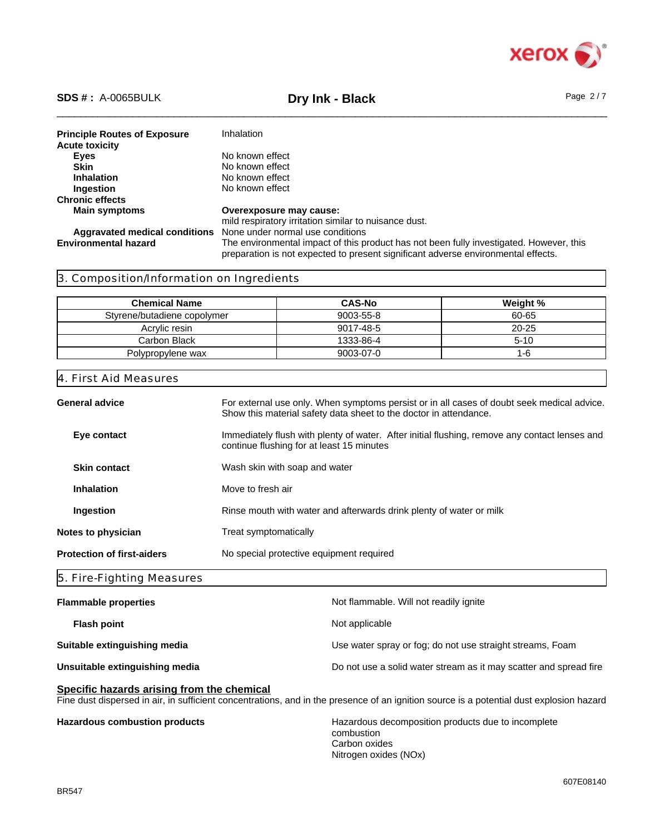

# \_\_\_\_\_\_\_\_\_\_\_\_\_\_\_\_\_\_\_\_\_\_\_\_\_\_\_\_\_\_\_\_\_\_\_\_\_\_\_\_\_\_\_\_\_\_\_\_\_\_\_\_\_\_\_\_\_\_\_\_\_\_\_\_\_\_\_\_\_\_\_\_\_\_\_\_\_\_\_\_\_\_\_\_\_\_\_\_\_\_\_\_\_\_ **SDS # :** A-0065BULK **Dry Ink - Black** Page 2 / 7

| <b>Principle Routes of Exposure</b> | Inhalation                                                                                                                                                                   |
|-------------------------------------|------------------------------------------------------------------------------------------------------------------------------------------------------------------------------|
| <b>Acute toxicity</b>               |                                                                                                                                                                              |
| Eyes                                | No known effect                                                                                                                                                              |
| <b>Skin</b>                         | No known effect                                                                                                                                                              |
| <b>Inhalation</b>                   | No known effect                                                                                                                                                              |
| Ingestion                           | No known effect                                                                                                                                                              |
| <b>Chronic effects</b>              |                                                                                                                                                                              |
| <b>Main symptoms</b>                | Overexposure may cause:                                                                                                                                                      |
|                                     | mild respiratory irritation similar to nuisance dust.                                                                                                                        |
| Aggravated medical conditions       | None under normal use conditions                                                                                                                                             |
| <b>Environmental hazard</b>         | The environmental impact of this product has not been fully investigated. However, this<br>preparation is not expected to present significant adverse environmental effects. |

# 3. Composition/Information on Ingredients

| <b>Chemical Name</b>        | <b>CAS-No</b> | Weight %  |
|-----------------------------|---------------|-----------|
| Styrene/butadiene copolymer | 9003-55-8     | 60-65     |
| Acrylic resin               | 9017-48-5     | $20 - 25$ |
| Carbon Black                | 1333-86-4     | $5 - 10$  |
| Polypropylene wax           | 9003-07-0     | 1-b       |

## 4. First Aid Measures

| General advice                    | For external use only. When symptoms persist or in all cases of doubt seek medical advice.<br>Show this material safety data sheet to the doctor in attendance. |
|-----------------------------------|-----------------------------------------------------------------------------------------------------------------------------------------------------------------|
| Eye contact                       | Immediately flush with plenty of water. After initial flushing, remove any contact lenses and<br>continue flushing for at least 15 minutes                      |
| <b>Skin contact</b>               | Wash skin with soap and water                                                                                                                                   |
| <b>Inhalation</b>                 | Move to fresh air                                                                                                                                               |
| Ingestion                         | Rinse mouth with water and afterwards drink plenty of water or milk                                                                                             |
| Notes to physician                | Treat symptomatically                                                                                                                                           |
| <b>Protection of first-aiders</b> | No special protective equipment required                                                                                                                        |
|                                   |                                                                                                                                                                 |

## 5. Fire-Fighting Measures

| <b>Flammable properties</b>    | Not flammable. Will not readily ignite                            |
|--------------------------------|-------------------------------------------------------------------|
| <b>Flash point</b>             | Not applicable                                                    |
| Suitable extinguishing media   | Use water spray or fog; do not use straight streams, Foam         |
| Unsuitable extinguishing media | Do not use a solid water stream as it may scatter and spread fire |
|                                |                                                                   |

# **Specific hazards arising from the chemical**

Fine dust dispersed in air, in sufficient concentrations, and in the presence of an ignition source is a potential dust explosion hazard

**Hazardous combustion products** Hazardous decomposition products due to incomplete combustion Carbon oxides Nitrogen oxides (NOx)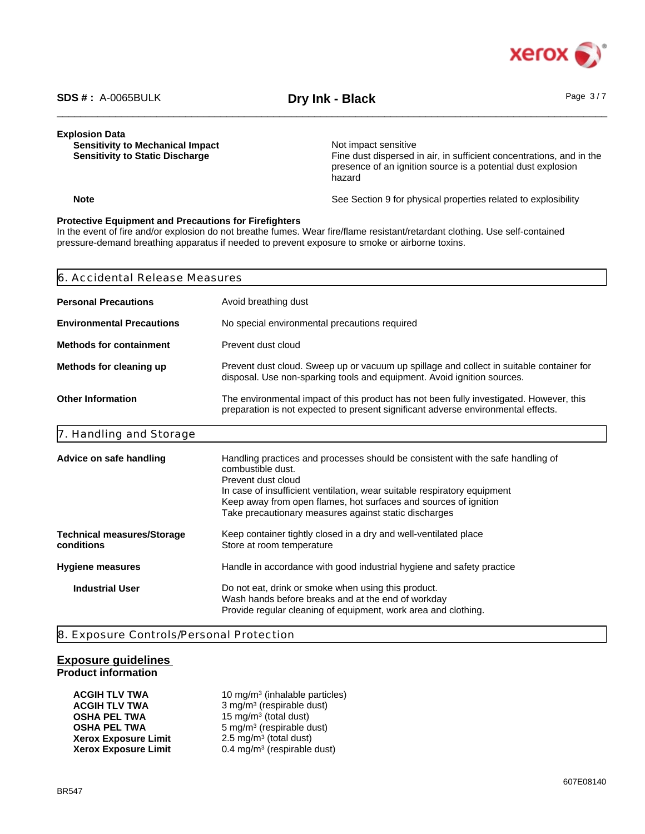

#### **Explosion Data**

**Sensitivity to Mechanical Impact**<br> **Sensitivity to Static Discharge**<br> **Sensitivity to Static Discharge**<br> **Sensitivity to Static Discharge** 

Fine dust dispersed in air, in sufficient concentrations, and in the presence of an ignition source is a potential dust explosion hazard

**Note** See Section 9 for physical properties related to explosibility

#### **Protective Equipment and Precautions for Firefighters**

In the event of fire and/or explosion do not breathe fumes. Wear fire/flame resistant/retardant clothing. Use self-contained pressure-demand breathing apparatus if needed to prevent exposure to smoke or airborne toxins.

| 6. Accidental Release Measures                  |                                                                                                                                                                                                                                                                                                                                     |  |  |  |
|-------------------------------------------------|-------------------------------------------------------------------------------------------------------------------------------------------------------------------------------------------------------------------------------------------------------------------------------------------------------------------------------------|--|--|--|
| <b>Personal Precautions</b>                     | Avoid breathing dust                                                                                                                                                                                                                                                                                                                |  |  |  |
| <b>Environmental Precautions</b>                | No special environmental precautions required                                                                                                                                                                                                                                                                                       |  |  |  |
| <b>Methods for containment</b>                  | Prevent dust cloud                                                                                                                                                                                                                                                                                                                  |  |  |  |
| Methods for cleaning up                         | Prevent dust cloud. Sweep up or vacuum up spillage and collect in suitable container for<br>disposal. Use non-sparking tools and equipment. Avoid ignition sources.                                                                                                                                                                 |  |  |  |
| <b>Other Information</b>                        | The environmental impact of this product has not been fully investigated. However, this<br>preparation is not expected to present significant adverse environmental effects.                                                                                                                                                        |  |  |  |
| 7. Handling and Storage                         |                                                                                                                                                                                                                                                                                                                                     |  |  |  |
| Advice on safe handling                         | Handling practices and processes should be consistent with the safe handling of<br>combustible dust.<br>Prevent dust cloud<br>In case of insufficient ventilation, wear suitable respiratory equipment<br>Keep away from open flames, hot surfaces and sources of ignition<br>Take precautionary measures against static discharges |  |  |  |
| <b>Technical measures/Storage</b><br>conditions | Keep container tightly closed in a dry and well-ventilated place<br>Store at room temperature                                                                                                                                                                                                                                       |  |  |  |
| Hygiene measures                                | Handle in accordance with good industrial hygiene and safety practice                                                                                                                                                                                                                                                               |  |  |  |
| <b>Industrial User</b>                          | Do not eat, drink or smoke when using this product.<br>Wash hands before breaks and at the end of workday<br>Provide regular cleaning of equipment, work area and clothing.                                                                                                                                                         |  |  |  |

8. Exposure Controls/Personal Protection

# **Exposure guidelines Product information**

| ACGIH TLV TWA        | 10 mg/m <sup>3</sup> (inhalable particles) |  |
|----------------------|--------------------------------------------|--|
| ACGIH TLV TWA        | 3 mg/m <sup>3</sup> (respirable dust)      |  |
| OSHA PEL TWA         | 15 mg/m <sup>3</sup> (total dust)          |  |
| OSHA PEL TWA         | $5 \text{ mg/m}^3$ (respirable dust)       |  |
| Xerox Exposure Limit | 2.5 mg/m <sup>3</sup> (total dust)         |  |
| Xerox Exposure Limit | 0.4 mg/m <sup>3</sup> (respirable dust)    |  |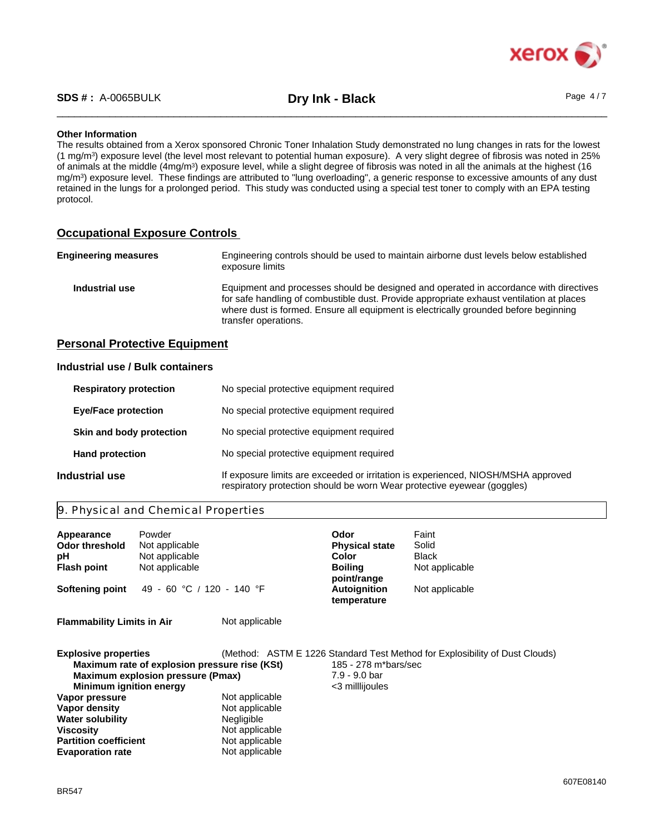

### **Other Information**

The results obtained from a Xerox sponsored Chronic Toner Inhalation Study demonstrated no lung changes in rats for the lowest (1 mg/m<sup>3</sup> ) exposure level (the level most relevant to potential human exposure). A very slight degree of fibrosis was noted in 25% of animals at the middle (4mg/m<sup>3</sup>) exposure level, while a slight degree of fibrosis was noted in all the animals at the highest (16 mg/m<sup>3</sup> ) exposure level. These findings are attributed to "lung overloading", a generic response to excessive amounts of any dust retained in the lungs for a prolonged period. This study was conducted using a special test toner to comply with an EPA testing protocol.

# **Occupational Exposure Controls**

| <b>Engineering measures</b> | Engineering controls should be used to maintain airborne dust levels below established<br>exposure limits                                                                                                                                                                                         |
|-----------------------------|---------------------------------------------------------------------------------------------------------------------------------------------------------------------------------------------------------------------------------------------------------------------------------------------------|
| Industrial use              | Equipment and processes should be designed and operated in accordance with directives<br>for safe handling of combustible dust. Provide appropriate exhaust ventilation at places<br>where dust is formed. Ensure all equipment is electrically grounded before beginning<br>transfer operations. |

# **Personal Protective Equipment**

# **Industrial use / Bulk containers**

|                | <b>Respiratory protection</b> | No special protective equipment required                                                                                                                     |
|----------------|-------------------------------|--------------------------------------------------------------------------------------------------------------------------------------------------------------|
|                | <b>Eye/Face protection</b>    | No special protective equipment required                                                                                                                     |
|                | Skin and body protection      | No special protective equipment required                                                                                                                     |
|                | <b>Hand protection</b>        | No special protective equipment required                                                                                                                     |
| Industrial use |                               | If exposure limits are exceeded or irritation is experienced, NIOSH/MSHA approved<br>respiratory protection should be worn Wear protective eyewear (goggles) |

# 9. Physical and Chemical Properties

**Partition coefficient** Not applicable<br> **Evaporation rate** Not applicable

| Appearance<br><b>Odor threshold</b><br>рH<br><b>Flash point</b><br>Softening point                                          | Powder<br>Not applicable<br>Not applicable<br>Not applicable<br>49 - 60 °C / 120 - 140 °F |                                                       | Odor<br><b>Physical state</b><br>Color<br><b>Boiling</b><br>point/range<br><b>Autoignition</b><br>temperature | Faint<br>Solid<br><b>Black</b><br>Not applicable<br>Not applicable          |
|-----------------------------------------------------------------------------------------------------------------------------|-------------------------------------------------------------------------------------------|-------------------------------------------------------|---------------------------------------------------------------------------------------------------------------|-----------------------------------------------------------------------------|
| <b>Flammability Limits in Air</b>                                                                                           |                                                                                           | Not applicable                                        |                                                                                                               |                                                                             |
| <b>Explosive properties</b><br><b>Minimum ignition energy</b><br>Vapor pressure<br>Vapor density<br><b>Water solubility</b> | Maximum rate of explosion pressure rise (KSt)<br><b>Maximum explosion pressure (Pmax)</b> | Not applicable<br>Not applicable<br><b>Negligible</b> | 185 - 278 m*bars/sec<br>7.9 - 9.0 bar<br><3 millijoules                                                       | (Method: ASTM E 1226 Standard Test Method for Explosibility of Dust Clouds) |
| <b>Viscositv</b>                                                                                                            |                                                                                           | Not applicable                                        |                                                                                                               |                                                                             |

Not applicable<br>Not applicable

**Evaporation rate**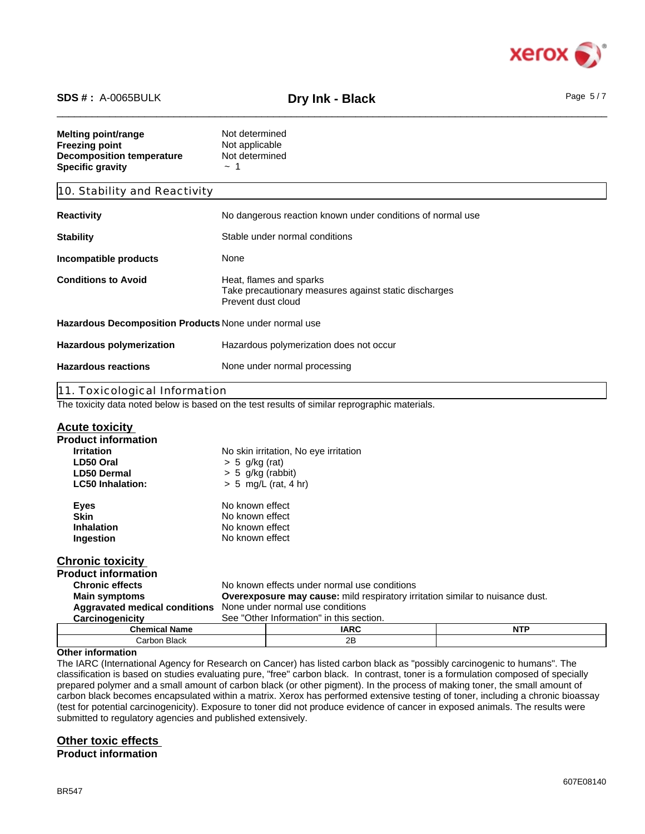

# \_\_\_\_\_\_\_\_\_\_\_\_\_\_\_\_\_\_\_\_\_\_\_\_\_\_\_\_\_\_\_\_\_\_\_\_\_\_\_\_\_\_\_\_\_\_\_\_\_\_\_\_\_\_\_\_\_\_\_\_\_\_\_\_\_\_\_\_\_\_\_\_\_\_\_\_\_\_\_\_\_\_\_\_\_\_\_\_\_\_\_\_\_\_ **SDS # :** A-0065BULK **Dry Ink - Black** Page 5 / 7

| Melting point/range<br>Freezing point<br><b>Decomposition temperature</b><br><b>Specific gravity</b> | Not determined<br>Not applicable<br>Not determined<br>$\sim$ 1                                         |  |
|------------------------------------------------------------------------------------------------------|--------------------------------------------------------------------------------------------------------|--|
| 10. Stability and Reactivity                                                                         |                                                                                                        |  |
| Reactivity                                                                                           | No dangerous reaction known under conditions of normal use                                             |  |
| Stability                                                                                            | Stable under normal conditions                                                                         |  |
| Incompatible products                                                                                | None                                                                                                   |  |
| <b>Conditions to Avoid</b>                                                                           | Heat, flames and sparks<br>Take precautionary measures against static discharges<br>Prevent dust cloud |  |
| Hazardous Decomposition Products None under normal use                                               |                                                                                                        |  |
| <b>Hazardous polymerization</b>                                                                      | Hazardous polymerization does not occur                                                                |  |
| <b>Hazardous reactions</b>                                                                           | None under normal processing                                                                           |  |
| 11. Toxicological Information                                                                        |                                                                                                        |  |
| The toxicity data noted below is based on the test results of similar reprographic materials.        |                                                                                                        |  |

# **Acute toxicity**

| <b>AVULG LUAIVILY</b>         |                                                                                      |                                              |            |  |
|-------------------------------|--------------------------------------------------------------------------------------|----------------------------------------------|------------|--|
| <b>Product information</b>    |                                                                                      |                                              |            |  |
| <b>Irritation</b>             |                                                                                      | No skin irritation, No eye irritation        |            |  |
| LD50 Oral                     | $> 5$ g/kg (rat)                                                                     |                                              |            |  |
| <b>LD50 Dermal</b>            | $> 5$ g/kg (rabbit)                                                                  |                                              |            |  |
| <b>LC50 Inhalation:</b>       |                                                                                      | $> 5$ mg/L (rat, 4 hr)                       |            |  |
| <b>Eyes</b>                   | No known effect                                                                      |                                              |            |  |
| <b>Skin</b>                   | No known effect                                                                      |                                              |            |  |
| <b>Inhalation</b>             | No known effect                                                                      |                                              |            |  |
| Ingestion                     | No known effect                                                                      |                                              |            |  |
| <b>Chronic toxicity</b>       |                                                                                      |                                              |            |  |
| <b>Product information</b>    |                                                                                      |                                              |            |  |
| <b>Chronic effects</b>        |                                                                                      | No known effects under normal use conditions |            |  |
| <b>Main symptoms</b>          | <b>Overexposure may cause:</b> mild respiratory irritation similar to nuisance dust. |                                              |            |  |
| Aggravated medical conditions | None under normal use conditions                                                     |                                              |            |  |
| Carcinogenicity               |                                                                                      | See "Other Information" in this section.     |            |  |
| <b>Chemical Name</b>          |                                                                                      | <b>IARC</b>                                  | <b>NTP</b> |  |
| Carbon Black                  |                                                                                      | 2B                                           |            |  |

#### **Other information**

The IARC (International Agency for Research on Cancer) has listed carbon black as "possibly carcinogenic to humans". The classification is based on studies evaluating pure, "free" carbon black. In contrast, toner is a formulation composed of specially prepared polymer and a small amount of carbon black (or other pigment). In the process of making toner, the small amount of carbon black becomes encapsulated within a matrix. Xerox has performed extensive testing of toner, including a chronic bioassay (test for potential carcinogenicity). Exposure to toner did not produce evidence of cancer in exposed animals. The results were submitted to regulatory agencies and published extensively.

# **Other toxic effects**

**Product information**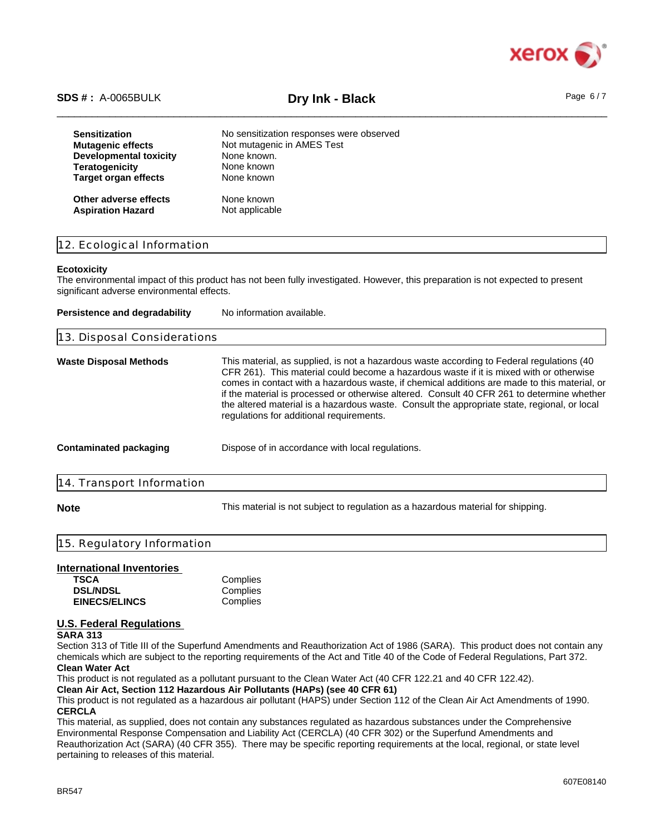

# \_\_\_\_\_\_\_\_\_\_\_\_\_\_\_\_\_\_\_\_\_\_\_\_\_\_\_\_\_\_\_\_\_\_\_\_\_\_\_\_\_\_\_\_\_\_\_\_\_\_\_\_\_\_\_\_\_\_\_\_\_\_\_\_\_\_\_\_\_\_\_\_\_\_\_\_\_\_\_\_\_\_\_\_\_\_\_\_\_\_\_\_\_\_ **SDS # :** A-0065BULK **Dry Ink - Black** Page 6 / 7

| <b>Sensitization</b>        | No sensitization responses were observed |
|-----------------------------|------------------------------------------|
| <b>Mutagenic effects</b>    | Not mutagenic in AMES Test               |
| Developmental toxicity      | None known.                              |
| <b>Teratogenicity</b>       | None known                               |
| <b>Target organ effects</b> | None known                               |
| Other adverse effects       | None known                               |
| <b>Aspiration Hazard</b>    | Not applicable                           |

## 12. Ecological Information

#### **Ecotoxicity**

The environmental impact of this product has not been fully investigated. However, this preparation is not expected to present significant adverse environmental effects.

| Persistence and degradability | No information available.                                                                                                                                                                                                                                                                                                                                                                                                                                                                                                      |
|-------------------------------|--------------------------------------------------------------------------------------------------------------------------------------------------------------------------------------------------------------------------------------------------------------------------------------------------------------------------------------------------------------------------------------------------------------------------------------------------------------------------------------------------------------------------------|
| 13. Disposal Considerations   |                                                                                                                                                                                                                                                                                                                                                                                                                                                                                                                                |
| Waste Disposal Methods        | This material, as supplied, is not a hazardous waste according to Federal regulations (40<br>CFR 261). This material could become a hazardous waste if it is mixed with or otherwise<br>comes in contact with a hazardous waste, if chemical additions are made to this material, or<br>if the material is processed or otherwise altered. Consult 40 CFR 261 to determine whether<br>the altered material is a hazardous waste. Consult the appropriate state, regional, or local<br>regulations for additional requirements. |
| Contaminated packaging        | Dispose of in accordance with local regulations.                                                                                                                                                                                                                                                                                                                                                                                                                                                                               |
| 14. Transport Information     |                                                                                                                                                                                                                                                                                                                                                                                                                                                                                                                                |
|                               |                                                                                                                                                                                                                                                                                                                                                                                                                                                                                                                                |

**Note** This material is not subject to regulation as a hazardous material for shipping.

## 15. Regulatory Information

# **International Inventories**

| TSCA                 | Complies |
|----------------------|----------|
| <b>DSL/NDSL</b>      | Complies |
| <b>EINECS/ELINCS</b> | Complies |

# **U.S. Federal Regulations**

#### **SARA 313**

Section 313 of Title III of the Superfund Amendments and Reauthorization Act of 1986 (SARA). This product does not contain any chemicals which are subject to the reporting requirements of the Act and Title 40 of the Code of Federal Regulations, Part 372. **Clean Water Act**

This product is not regulated as a pollutant pursuant to the Clean Water Act (40 CFR 122.21 and 40 CFR 122.42).

**Clean Air Act, Section 112 Hazardous Air Pollutants (HAPs) (see 40 CFR 61)**

This product is not regulated as a hazardous air pollutant (HAPS) under Section 112 of the Clean Air Act Amendments of 1990. **CERCLA**

This material, as supplied, does not contain any substances regulated as hazardous substances under the Comprehensive Environmental Response Compensation and Liability Act (CERCLA) (40 CFR 302) or the Superfund Amendments and Reauthorization Act (SARA) (40 CFR 355). There may be specific reporting requirements at the local, regional, or state level pertaining to releases of this material.